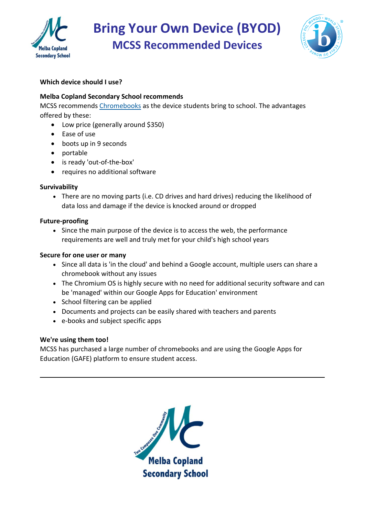

# **Bring Your Own Device (BYOD) MCSS Recommended Devices**



#### **Which device should I use?**

#### **Melba Copland Secondary School recommends**

MCSS recommends Chromebooks as the device students bring to school. The advantages offered by these:

- Low price (generally around \$350)
- Ease of use
- boots up in 9 seconds
- portable
- is ready 'out‐of‐the‐box'
- requires no additional software

#### **Survivability**

 There are no moving parts (i.e. CD drives and hard drives) reducing the likelihood of data loss and damage if the device is knocked around or dropped

#### **Future‐proofing**

• Since the main purpose of the device is to access the web, the performance requirements are well and truly met for your child's high school years

#### **Secure for one user or many**

- Since all data is 'in the cloud' and behind a Google account, multiple users can share a chromebook without any issues
- The Chromium OS is highly secure with no need for additional security software and can be 'managed' within our Google Apps for Education' environment
- School filtering can be applied
- Documents and projects can be easily shared with teachers and parents
- e‐books and subject specific apps

#### **We're using them too!**

MCSS has purchased a large number of chromebooks and are using the Google Apps for Education (GAFE) platform to ensure student access.

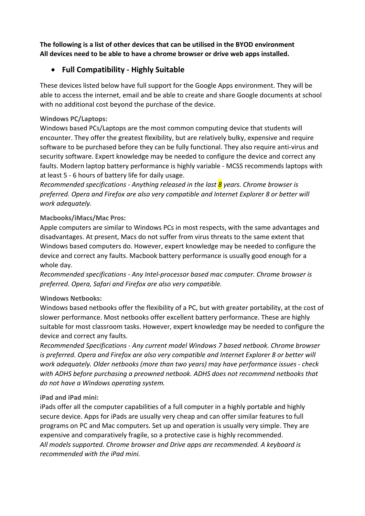## **The following is a list of other devices that can be utilised in the BYOD environment All devices need to be able to have a chrome browser or drive web apps installed.**

# **Full Compatibility ‐ Highly Suitable**

These devices listed below have full support for the Google Apps environment. They will be able to access the internet, email and be able to create and share Google documents at school with no additional cost beyond the purchase of the device.

### **Windows PC/Laptops:**

Windows based PCs/Laptops are the most common computing device that students will encounter. They offer the greatest flexibility, but are relatively bulky, expensive and require software to be purchased before they can be fully functional. They also require anti-virus and security software. Expert knowledge may be needed to configure the device and correct any faults. Modern laptop battery performance is highly variable ‐ MCSS recommends laptops with at least 5 ‐ 6 hours of battery life for daily usage.

*Recommended specifications ‐ Anything released in the last 8 years. Chrome browser is preferred. Opera and Firefox are also very compatible and Internet Explorer 8 or better will work adequately.*

#### **Macbooks/iMacs/Mac Pros:**

Apple computers are similar to Windows PCs in most respects, with the same advantages and disadvantages. At present, Macs do not suffer from virus threats to the same extent that Windows based computers do. However, expert knowledge may be needed to configure the device and correct any faults. Macbook battery performance is usually good enough for a whole day.

*Recommended specifications ‐ Any Intel‐processor based mac computer. Chrome browser is preferred. Opera, Safari and Firefox are also very compatible.*

## **Windows Netbooks:**

Windows based netbooks offer the flexibility of a PC, but with greater portability, at the cost of slower performance. Most netbooks offer excellent battery performance. These are highly suitable for most classroom tasks. However, expert knowledge may be needed to configure the device and correct any faults.

*Recommended Specifications ‐ Any current model Windows 7 based netbook. Chrome browser is preferred. Opera and Firefox are also very compatible and Internet Explorer 8 or better will work adequately. Older netbooks (more than two years) may have performance issues ‐ check with ADHS before purchasing a preowned netbook. ADHS does not recommend netbooks that do not have a Windows operating system.*

## **iPad and iPad mini:**

iPads offer all the computer capabilities of a full computer in a highly portable and highly secure device. Apps for iPads are usually very cheap and can offer similar features to full programs on PC and Mac computers. Set up and operation is usually very simple. They are expensive and comparatively fragile, so a protective case is highly recommended. *All models supported. Chrome browser and Drive apps are recommended. A keyboard is recommended with the iPad mini.*